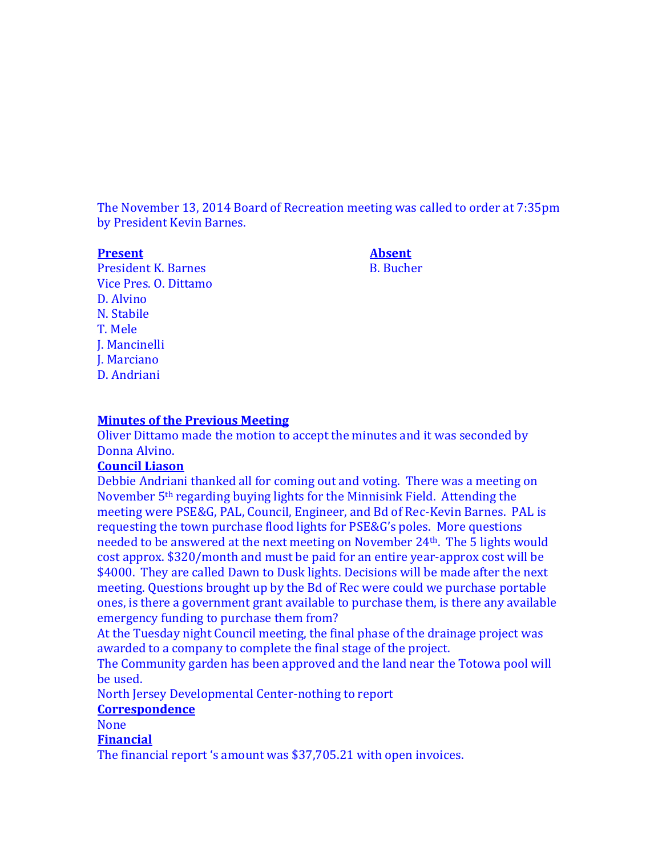The November 13, 2014 Board of Recreation meeting was called to order at 7:35pm by President Kevin Barnes.

**Present Absent**

President K. Barnes B. Bucher Vice Pres. O. Dittamo D. Alvino N. Stabile T. Mele J. Mancinelli J. Marciano D. Andriani

#### **Minutes of the Previous Meeting**

Oliver Dittamo made the motion to accept the minutes and it was seconded by Donna Alvino.

## **Council Liason**

Debbie Andriani thanked all for coming out and voting. There was a meeting on November 5th regarding buying lights for the Minnisink Field. Attending the meeting were PSE&G, PAL, Council, Engineer, and Bd of Rec-Kevin Barnes. PAL is requesting the town purchase flood lights for PSE&G's poles. More questions needed to be answered at the next meeting on November 24th. The 5 lights would cost approx. \$320/month and must be paid for an entire year-approx cost will be \$4000. They are called Dawn to Dusk lights. Decisions will be made after the next meeting. Questions brought up by the Bd of Rec were could we purchase portable ones, is there a government grant available to purchase them, is there any available emergency funding to purchase them from?

At the Tuesday night Council meeting, the final phase of the drainage project was awarded to a company to complete the final stage of the project.

The Community garden has been approved and the land near the Totowa pool will be used.

North Jersey Developmental Center-nothing to report

# **Correspondence**

None

# **Financial**

The financial report 's amount was \$37,705.21 with open invoices.